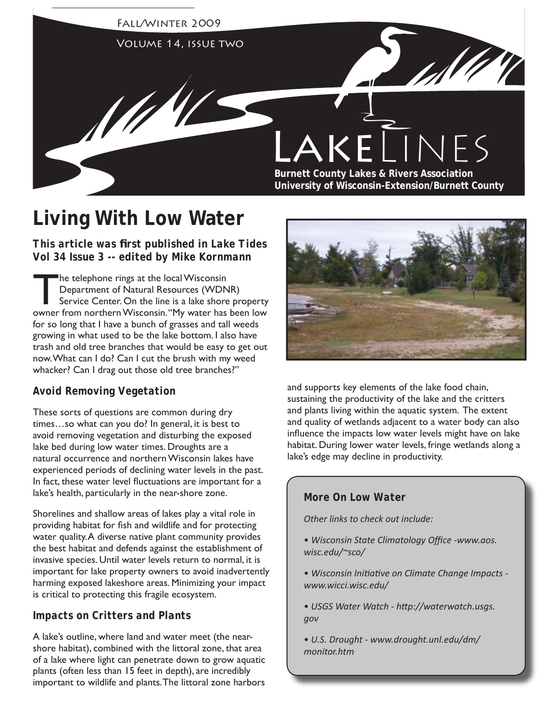

# **Living With Low Water**

*This article was first published in Lake Tides Vol 34 Issue 3 -- edited by Mike Kornmann*

The telephone rings at the local Wisconsin<br>Department of Natural Resources (WDN<br>Service Center On the line is a lake shore Department of Natural Resources (WDNR) Service Center. On the line is a lake shore property owner from northern Wisconsin. "My water has been low for so long that I have a bunch of grasses and tall weeds growing in what used to be the lake bottom. I also have trash and old tree branches that would be easy to get out now. What can I do? Can I cut the brush with my weed whacker? Can I drag out those old tree branches?"

## *Avoid Removing Vegetation*

These sorts of questions are common during dry times…so what can you do? In general, it is best to avoid removing vegetation and disturbing the exposed lake bed during low water times. Droughts are a natural occurrence and northern Wisconsin lakes have experienced periods of declining water levels in the past. In fact, these water level fluctuations are important for a lake's health, particularly in the near-shore zone.

Shorelines and shallow areas of lakes play a vital role in providing habitat for fish and wildlife and for protecting water quality. A diverse native plant community provides the best habitat and defends against the establishment of invasive species. Until water levels return to normal, it is important for lake property owners to avoid inadvertently harming exposed lakeshore areas. Minimizing your impact is critical to protecting this fragile ecosystem.

## *Impacts on Critters and Plants*

A lake's outline, where land and water meet (the nearshore habitat), combined with the littoral zone, that area of a lake where light can penetrate down to grow aquatic plants (often less than 15 feet in depth), are incredibly important to wildlife and plants. The littoral zone harbors



and supports key elements of the lake food chain, sustaining the productivity of the lake and the critters and plants living within the aquatic system. The extent and quality of wetlands adjacent to a water body can also influence the impacts low water levels might have on lake habitat. During lower water levels, fringe wetlands along a lake's edge may decline in productivity.

## *More On Low Water*

*Other links to check out include:*

- Wisconsin State Climatology Office -www.aos. *wisc.edu/~sco/*
- *Wisconsin Initi ati ve on Climate Change Impacts www.wicci.wisc.edu/*
- *USGS Water Watch htt p://waterwatch.usgs. gov*
- *U.S. Drought www.drought.unl.edu/dm/ monitor.htm*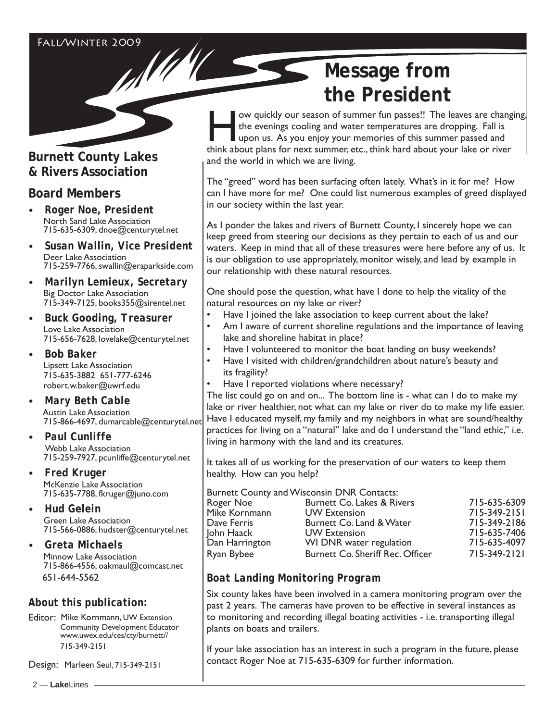# **Burnett County Lakes & Rivers Association**

## **Board Members**

- *Roger Noe, President* North Sand Lake Association 715-635-6309, dnoe@centurytel.net
- *Susan Wallin, Vice President* Deer Lake Association 715-259-7766, swallin@eraparkside.com
- *Marilyn Lemieux, Secretary* Big Doctor Lake Association 715-349-7125, books355@sirentel.net
- *Buck Gooding, Treasurer* Love Lake Association 715-656-7628, lovelake@centurytel.net
- *Bob Baker* Lipsett Lake Association 715-635-3882 651-777-6246 robert.w.baker@uwrf.edu
- *Mary Beth Cable* Austin Lake Association 715-866-4697, dumarcable@centurytel.net
- *Paul Cunliffe* Webb Lake Association 715-259-7927, pcunliffe@centurytel.net
- *Fred Kruger* McKenzie Lake Association 715-635-7788, fkruger@juno.com
- *Hud Gelein*  Green Lake Association 715-566-0886, hudster@centurytel.net
- *Greta Michaels* Minnow Lake Association 715-866-4556, oakmaul@comcast.net 651-644-5562

## *About this publication:*

Editor: Mike Kornmann, UW Extension Community Development Educator www.uwex.edu/ces/cty/burnett// 715-349-2151

Design: Marleen Seul, 715-349-2151

# **Message from the President**

ow quickly our season of summer fun passes!! The leaves are changing, the evenings cooling and water temperatures are dropping. Fall is upon us. As you enjoy your memories of this summer passed and think about plans for next summer, etc., think hard about your lake or river and the world in which we are living.

The "greed" word has been surfacing often lately. What's in it for me? How can I have more for me? One could list numerous examples of greed displayed in our society within the last year.

As I ponder the lakes and rivers of Burnett County, I sincerely hope we can keep greed from steering our decisions as they pertain to each of us and our waters. Keep in mind that all of these treasures were here before any of us. It is our obligation to use appropriately, monitor wisely, and lead by example in our relationship with these natural resources.

One should pose the question, what have I done to help the vitality of the natural resources on my lake or river?

- Have I joined the lake association to keep current about the lake?
- Am I aware of current shoreline regulations and the importance of leaving lake and shoreline habitat in place?
- Have I volunteered to monitor the boat landing on busy weekends?
- Have I visited with children/grandchildren about nature's beauty and its fragility?
- Have I reported violations where necessary?

The list could go on and on... The bottom line is - what can I do to make my lake or river healthier, not what can my lake or river do to make my life easier. Have I educated myself, my family and my neighbors in what are sound/healthy practices for living on a "natural" lake and do I understand the "land ethic," i.e. living in harmony with the land and its creatures.

It takes all of us working for the preservation of our waters to keep them healthy. How can you help?

|                | <b>Burnett County and Wisconsin DNR Contacts:</b> |              |
|----------------|---------------------------------------------------|--------------|
| Roger Noe      | Burnett Co. Lakes & Rivers                        | 715-635-6309 |
| Mike Kornmann  | <b>UW</b> Extension                               | 715-349-2151 |
| Dave Ferris    | Burnett Co. Land & Water                          | 715-349-2186 |
| John Haack     | <b>UW Extension</b>                               | 715-635-7406 |
| Dan Harrington | WI DNR water regulation                           | 715-635-4097 |
| Ryan Bybee     | Burnett Co. Sheriff Rec. Officer                  | 715-349-2121 |

## *Boat Landing Monitoring Program*

Six county lakes have been involved in a camera monitoring program over the past 2 years. The cameras have proven to be effective in several instances as to monitoring and recording illegal boating activities - i.e. transporting illegal plants on boats and trailers.

If your lake association has an interest in such a program in the future, please contact Roger Noe at 715-635-6309 for further information.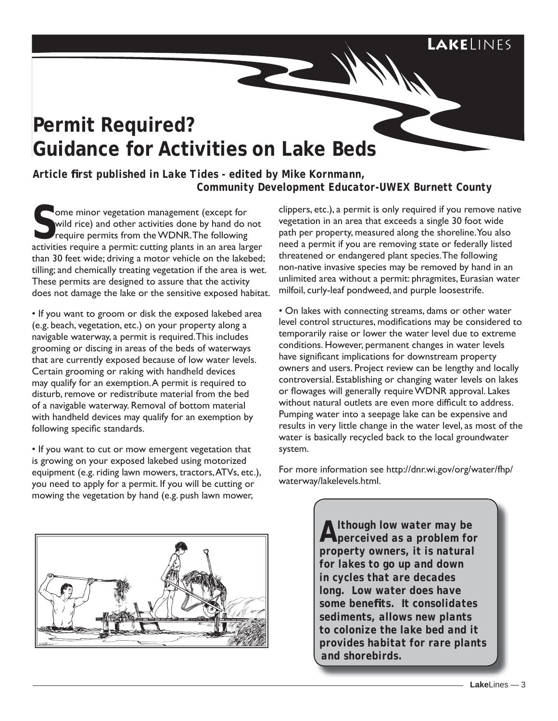# LAKELINFS

# **Permit Required? Guidance for Activities on Lake Beds**

*Article fi rst published in Lake Tides - edited by Mike Kornmann, Community Development Educator-UWEX Burnett County*

Some minor vegetation management (except for wild rice) and other activities done by hand do require permits from the WDNR. The following wild rice) and other activities done by hand do not activities require a permit: cutting plants in an area larger than 30 feet wide; driving a motor vehicle on the lakebed; tilling; and chemically treating vegetation if the area is wet. These permits are designed to assure that the activity does not damage the lake or the sensitive exposed habitat.

• If you want to groom or disk the exposed lakebed area (e.g. beach, vegetation, etc.) on your property along a navigable waterway, a permit is required. This includes grooming or discing in areas of the beds of waterways that are currently exposed because of low water levels. Certain grooming or raking with handheld devices may qualify for an exemption. A permit is required to disturb, remove or redistribute material from the bed of a navigable waterway. Removal of bottom material with handheld devices may qualify for an exemption by following specific standards.

• If you want to cut or mow emergent vegetation that is growing on your exposed lakebed using motorized equipment (e.g. riding lawn mowers, tractors, ATVs, etc.), you need to apply for a permit. If you will be cutting or mowing the vegetation by hand (e.g. push lawn mower,



clippers, etc.), a permit is only required if you remove native vegetation in an area that exceeds a single 30 foot wide path per property, measured along the shoreline. You also need a permit if you are removing state or federally listed threatened or endangered plant species. The following non-native invasive species may be removed by hand in an unlimited area without a permit: phragmites, Eurasian water milfoil, curly-leaf pondweed, and purple loosestrife.

• On lakes with connecting streams, dams or other water level control structures, modifications may be considered to temporarily raise or lower the water level due to extreme conditions. However, permanent changes in water levels have significant implications for downstream property owners and users. Project review can be lengthy and locally controversial. Establishing or changing water levels on lakes or flowages will generally require WDNR approval. Lakes without natural outlets are even more difficult to address. Pumping water into a seepage lake can be expensive and results in very little change in the water level, as most of the water is basically recycled back to the local groundwater system.

For more information see http://dnr.wi.gov/org/water/fhp/ waterway/lakelevels.html.

> *Although low water may be perceived as a problem for property owners, it is natural for lakes to go up and down in cycles that are decades long. Low water does have some benefi ts. It consolidates sediments, allows new plants to colonize the lake bed and it provides habitat for rare plants and shorebirds.*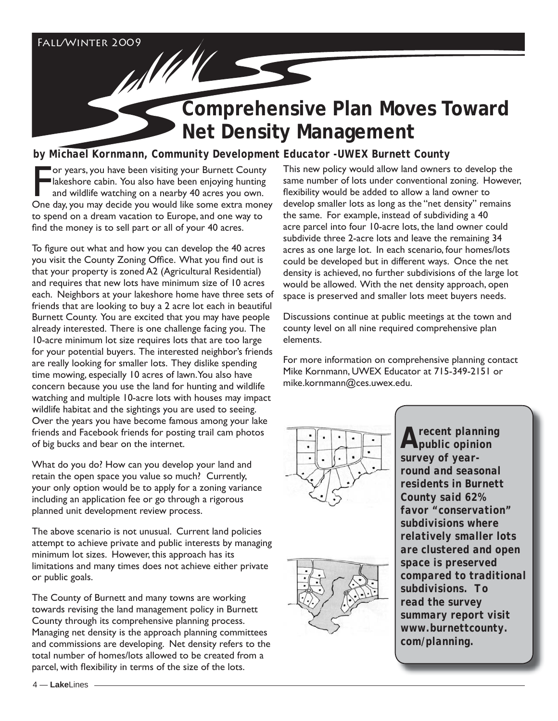# **Comprehensive Plan Moves Toward Net Density Management**

# *by Michael Kornmann, Community Development Educator -UWEX Burnett County*

For years, you have been visiting your Burnett County<br>
lakeshore cabin. You also have been enjoying hunting<br>
and wildlife watching on a nearby 40 acres you own.<br>
One day, you may decide you would like some extra money or years, you have been visiting your Burnett County Iakeshore cabin. You also have been enjoying hunting and wildlife watching on a nearby 40 acres you own. to spend on a dream vacation to Europe, and one way to find the money is to sell part or all of your 40 acres.

To figure out what and how you can develop the 40 acres you visit the County Zoning Office. What you find out is that your property is zoned A2 (Agricultural Residential) and requires that new lots have minimum size of 10 acres each. Neighbors at your lakeshore home have three sets of friends that are looking to buy a 2 acre lot each in beautiful Burnett County. You are excited that you may have people already interested. There is one challenge facing you. The 10-acre minimum lot size requires lots that are too large for your potential buyers. The interested neighbor's friends are really looking for smaller lots. They dislike spending time mowing, especially 10 acres of lawn. You also have concern because you use the land for hunting and wildlife watching and multiple 10-acre lots with houses may impact wildlife habitat and the sightings you are used to seeing. Over the years you have become famous among your lake friends and Facebook friends for posting trail cam photos of big bucks and bear on the internet.

What do you do? How can you develop your land and retain the open space you value so much? Currently, your only option would be to apply for a zoning variance including an application fee or go through a rigorous planned unit development review process.

The above scenario is not unusual. Current land policies attempt to achieve private and public interests by managing minimum lot sizes. However, this approach has its limitations and many times does not achieve either private or public goals.

The County of Burnett and many towns are working towards revising the land management policy in Burnett County through its comprehensive planning process. Managing net density is the approach planning committees and commissions are developing. Net density refers to the total number of homes/lots allowed to be created from a parcel, with flexibility in terms of the size of the lots.

This new policy would allow land owners to develop the same number of lots under conventional zoning. However, flexibility would be added to allow a land owner to develop smaller lots as long as the "net density" remains the same. For example, instead of subdividing a 40 acre parcel into four 10-acre lots, the land owner could subdivide three 2-acre lots and leave the remaining 34 acres as one large lot. In each scenario, four homes/lots could be developed but in different ways. Once the net density is achieved, no further subdivisions of the large lot would be allowed. With the net density approach, open space is preserved and smaller lots meet buyers needs.

Discussions continue at public meetings at the town and county level on all nine required comprehensive plan elements.

For more information on comprehensive planning contact Mike Kornmann, UWEX Educator at 715-349-2151 or mike.kornmann@ces.uwex.edu.





*A recent planning public opinion survey of yearround and seasonal residents in Burnett County said 62% favor "conservation" subdivisions where relatively smaller lots are clustered and open space is preserved compared to traditional subdivisions. To read the survey summary report visit www.burnettcounty. com/planning.*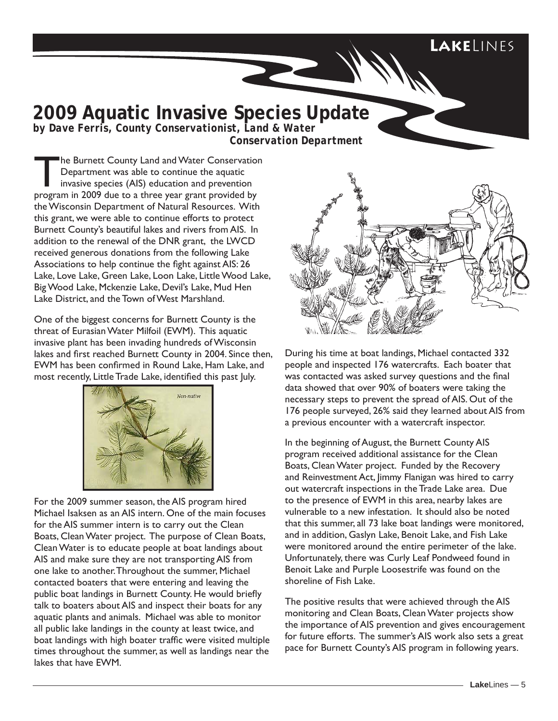# **Lake**Lines

# **2009 Aquatic Invasive Species Update**

*by Dave Ferris, County Conservationist, Land & Water Conservation Department*

The Burnett County Land and Water Conservation<br>
Department was able to continue the aquatic<br>
invasive species (AIS) education and prevention<br>
pregram in 2009 due to a three year great provided by Department was able to continue the aquatic program in 2009 due to a three year grant provided by the Wisconsin Department of Natural Resources. With this grant, we were able to continue efforts to protect Burnett County's beautiful lakes and rivers from AIS. In addition to the renewal of the DNR grant, the LWCD received generous donations from the following Lake Associations to help continue the fight against AIS: 26 Lake, Love Lake, Green Lake, Loon Lake, Little Wood Lake, Big Wood Lake, Mckenzie Lake, Devil's Lake, Mud Hen Lake District, and the Town of West Marshland.

One of the biggest concerns for Burnett County is the threat of Eurasian Water Milfoil (EWM). This aquatic invasive plant has been invading hundreds of Wisconsin lakes and first reached Burnett County in 2004. Since then, EWM has been confirmed in Round Lake, Ham Lake, and most recently, Little Trade Lake, identified this past luly.



For the 2009 summer season, the AIS program hired Michael Isaksen as an AIS intern. One of the main focuses for the AIS summer intern is to carry out the Clean Boats, Clean Water project. The purpose of Clean Boats, Clean Water is to educate people at boat landings about AIS and make sure they are not transporting AIS from one lake to another. Throughout the summer, Michael contacted boaters that were entering and leaving the public boat landings in Burnett County. He would briefly talk to boaters about AIS and inspect their boats for any aquatic plants and animals. Michael was able to monitor all public lake landings in the county at least twice, and boat landings with high boater traffic were visited multiple times throughout the summer, as well as landings near the lakes that have EWM.



During his time at boat landings, Michael contacted 332 people and inspected 176 watercrafts. Each boater that was contacted was asked survey questions and the final data showed that over 90% of boaters were taking the necessary steps to prevent the spread of AIS. Out of the 176 people surveyed, 26% said they learned about AIS from a previous encounter with a watercraft inspector.

In the beginning of August, the Burnett County AIS program received additional assistance for the Clean Boats, Clean Water project. Funded by the Recovery and Reinvestment Act, Jimmy Flanigan was hired to carry out watercraft inspections in the Trade Lake area. Due to the presence of EWM in this area, nearby lakes are vulnerable to a new infestation. It should also be noted that this summer, all 73 lake boat landings were monitored, and in addition, Gaslyn Lake, Benoit Lake, and Fish Lake were monitored around the entire perimeter of the lake. Unfortunately, there was Curly Leaf Pondweed found in Benoit Lake and Purple Loosestrife was found on the shoreline of Fish Lake.

The positive results that were achieved through the AIS monitoring and Clean Boats, Clean Water projects show the importance of AIS prevention and gives encouragement for future efforts. The summer's AIS work also sets a great pace for Burnett County's AIS program in following years.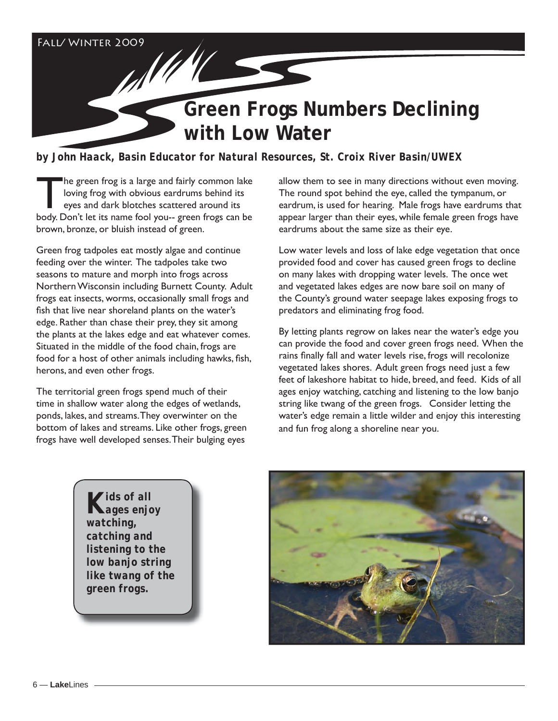Fall/ Winter 2009

# **Green Frogs Numbers Declining with Low Water**

*by John Haack, Basin Educator for Natural Resources, St. Croix River Basin/UWEX*

The green frog is a large and fairly common lake<br>
loving frog with obvious eardrums behind its<br>
eyes and dark blotches scattered around its<br>
body Don't lot its name fool you, green from son be loving frog with obvious eardrums behind its body. Don't let its name fool you-- green frogs can be brown, bronze, or bluish instead of green.

All M

Green frog tadpoles eat mostly algae and continue feeding over the winter. The tadpoles take two seasons to mature and morph into frogs across Northern Wisconsin including Burnett County. Adult frogs eat insects, worms, occasionally small frogs and fish that live near shoreland plants on the water's edge. Rather than chase their prey, they sit among the plants at the lakes edge and eat whatever comes. Situated in the middle of the food chain, frogs are food for a host of other animals including hawks, fish, herons, and even other frogs.

The territorial green frogs spend much of their time in shallow water along the edges of wetlands, ponds, lakes, and streams. They overwinter on the bottom of lakes and streams. Like other frogs, green frogs have well developed senses. Their bulging eyes

allow them to see in many directions without even moving. The round spot behind the eye, called the tympanum, or eardrum, is used for hearing. Male frogs have eardrums that appear larger than their eyes, while female green frogs have eardrums about the same size as their eye.

Low water levels and loss of lake edge vegetation that once provided food and cover has caused green frogs to decline on many lakes with dropping water levels. The once wet and vegetated lakes edges are now bare soil on many of the County's ground water seepage lakes exposing frogs to predators and eliminating frog food.

By letting plants regrow on lakes near the water's edge you can provide the food and cover green frogs need. When the rains finally fall and water levels rise, frogs will recolonize vegetated lakes shores. Adult green frogs need just a few feet of lakeshore habitat to hide, breed, and feed. Kids of all ages enjoy watching, catching and listening to the low banjo string like twang of the green frogs. Consider letting the water's edge remain a little wilder and enjoy this interesting and fun frog along a shoreline near you.

*Kids of all ages enjoy watching, catching and listening to the low banjo string like twang of the green frogs.*

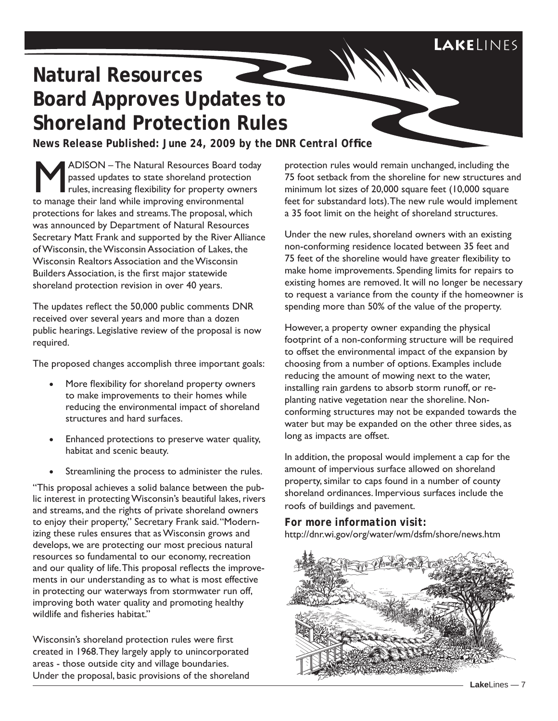# **Natural Resources Board Approves Updates to Shoreland Protection Rules**

*News Release Published: June 24, 2009 by the DNR Central Office* 

ADISON - The Natural Resources Board today passed updates to state shoreland protection rules, increasing flexibility for property owners to manage their land while improving environmental protections for lakes and streams. The proposal, which was announced by Department of Natural Resources Secretary Matt Frank and supported by the River Alliance of Wisconsin, the Wisconsin Association of Lakes, the Wisconsin Realtors Association and the Wisconsin Builders Association, is the first major statewide shoreland protection revision in over 40 years.

The updates reflect the 50,000 public comments DNR received over several years and more than a dozen public hearings. Legislative review of the proposal is now required.

The proposed changes accomplish three important goals:

- More flexibility for shoreland property owners to make improvements to their homes while reducing the environmental impact of shoreland structures and hard surfaces.
- Enhanced protections to preserve water quality, habitat and scenic beauty.
- Streamlining the process to administer the rules.

"This proposal achieves a solid balance between the public interest in protecting Wisconsin's beautiful lakes, rivers and streams, and the rights of private shoreland owners to enjoy their property," Secretary Frank said. "Modernizing these rules ensures that as Wisconsin grows and develops, we are protecting our most precious natural resources so fundamental to our economy, recreation and our quality of life. This proposal reflects the improvements in our understanding as to what is most effective in protecting our waterways from stormwater run off, improving both water quality and promoting healthy wildlife and fisheries habitat"

Wisconsin's shoreland protection rules were first created in 1968. They largely apply to unincorporated areas - those outside city and village boundaries. Under the proposal, basic provisions of the shoreland protection rules would remain unchanged, including the 75 foot setback from the shoreline for new structures and minimum lot sizes of 20,000 square feet (10,000 square feet for substandard lots). The new rule would implement a 35 foot limit on the height of shoreland structures.

Under the new rules, shoreland owners with an existing non-conforming residence located between 35 feet and 75 feet of the shoreline would have greater flexibility to make home improvements. Spending limits for repairs to existing homes are removed. It will no longer be necessary to request a variance from the county if the homeowner is spending more than 50% of the value of the property.

However, a property owner expanding the physical footprint of a non-conforming structure will be required to offset the environmental impact of the expansion by choosing from a number of options. Examples include reducing the amount of mowing next to the water, installing rain gardens to absorb storm runoff, or replanting native vegetation near the shoreline. Nonconforming structures may not be expanded towards the water but may be expanded on the other three sides, as long as impacts are offset.

In addition, the proposal would implement a cap for the amount of impervious surface allowed on shoreland property, similar to caps found in a number of county shoreland ordinances. Impervious surfaces include the roofs of buildings and pavement.

*For more information visit:* http://dnr.wi.gov/org/water/wm/dsfm/shore/news.htm

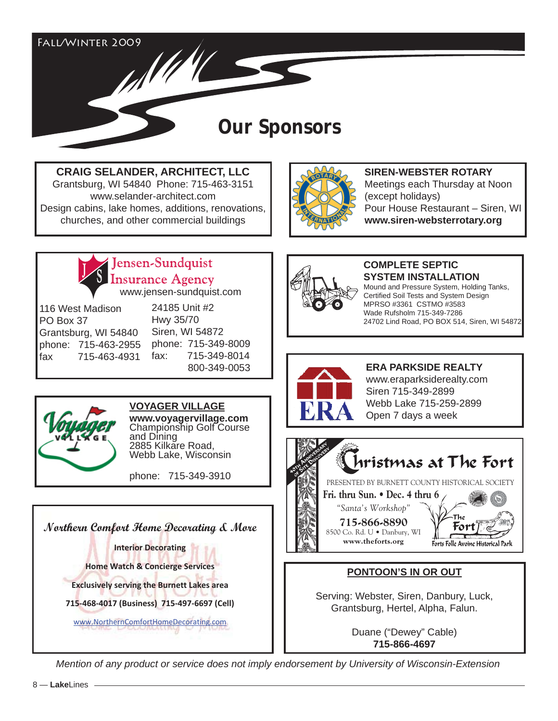Fall/Winter 2009 AN HILL

# **Our Sponsors**

**CRAIG SELANDER, ARCHITECT, LLC**

Grantsburg, WI 54840 Phone: 715-463-3151 www.selander-architect.com Design cabins, lake homes, additions, renovations, churches, and other commercial buildings



**SIREN-WEBSTER ROTARY** Meetings each Thursday at Noon (except holidays) Pour House Restaurant – Siren, WI **www.siren-websterrotary.org**



Jensen-Sundquist **Insurance Agency** 

www.jensen-sundquist.com

116 West Madison PO Box 37 Grantsburg, WI 54840 phone: 715-463-2955 fax 715-463-4931

24185 Unit #2 Hwy 35/70 Siren, WI 54872 phone: 715-349-8009 fax: 715-349-8014 800-349-0053



**VOYAGER VILLAGE**

**www.voyagervillage.com**  Championship Golf Course and Dining 2885 Kilkare Road, Webb Lake, Wisconsin

phone: 715-349-3910

**Northern Comfort Home Decorating & More Interior Decorating Home Watch & Concierge Services Exclusively serving the Burnett Lakes area 715Ͳ468Ͳ4017 (Business)715Ͳ497Ͳ6697 (Cell)** www.NorthernComfortHomeDecorating.com



#### **COMPLETE SEPTIC SYSTEM INSTALLATION** Mound and Pressure System, Holding Tanks,

Certified Soil Tests and System Design MPRSO #3361 CSTMO #3583 Wade Rufsholm 715-349-7286 24702 Lind Road, PO BOX 514, Siren, WI 54872



**ERA PARKSIDE REALTY** www.eraparksiderealty.com Siren 715-349-2899 Webb Lake 715-259-2899 Open 7 days a week



## **PONTOON'S IN OR OUT**

Serving: Webster, Siren, Danbury, Luck, Grantsburg, Hertel, Alpha, Falun.

> Duane ("Dewey" Cable) **715-866-4697**

*Mention of any product or service does not imply endorsement by University of Wisconsin-Extension*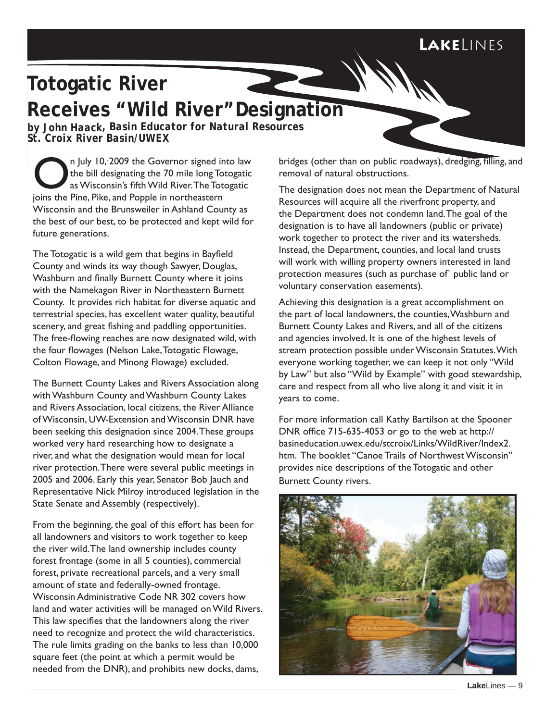# LAKELINFS

# **Totogatic River Receives "Wild River"Designation**

*by John Haack, Basin Educator for Natural Resources St. Croix River Basin/UWEX*

n July 10, 2009 the Governor signed into law the bill designating the 70 mile long Totogatic as Wisconsin's fifth Wild River. The Totogatic joins the Pine, Pike, and Popple in northeastern Wisconsin and the Brunsweiler in Ashland County as the best of our best, to be protected and kept wild for future generations.

The Totogatic is a wild gem that begins in Bayfield County and winds its way though Sawyer, Douglas, Washburn and finally Burnett County where it joins with the Namekagon River in Northeastern Burnett County. It provides rich habitat for diverse aquatic and terrestrial species, has excellent water quality, beautiful scenery, and great fishing and paddling opportunities. The free-flowing reaches are now designated wild, with the four flowages (Nelson Lake, Totogatic Flowage, Colton Flowage, and Minong Flowage) excluded.

The Burnett County Lakes and Rivers Association along with Washburn County and Washburn County Lakes and Rivers Association, local citizens, the River Alliance of Wisconsin, UW-Extension and Wisconsin DNR have been seeking this designation since 2004. These groups worked very hard researching how to designate a river, and what the designation would mean for local river protection. There were several public meetings in 2005 and 2006. Early this year, Senator Bob Jauch and Representative Nick Milroy introduced legislation in the State Senate and Assembly (respectively).

From the beginning, the goal of this effort has been for all landowners and visitors to work together to keep the river wild. The land ownership includes county forest frontage (some in all 5 counties), commercial forest, private recreational parcels, and a very small amount of state and federally-owned frontage. Wisconsin Administrative Code NR 302 covers how land and water activities will be managed on Wild Rivers. This law specifies that the landowners along the river need to recognize and protect the wild characteristics. The rule limits grading on the banks to less than 10,000 square feet (the point at which a permit would be needed from the DNR), and prohibits new docks, dams,

bridges (other than on public roadways), dredging, filling, and removal of natural obstructions.

The designation does not mean the Department of Natural Resources will acquire all the riverfront property, and the Department does not condemn land. The goal of the designation is to have all landowners (public or private) work together to protect the river and its watersheds. Instead, the Department, counties, and local land trusts will work with willing property owners interested in land protection measures (such as purchase of` public land or voluntary conservation easements).

Achieving this designation is a great accomplishment on the part of local landowners, the counties, Washburn and Burnett County Lakes and Rivers, and all of the citizens and agencies involved. It is one of the highest levels of stream protection possible under Wisconsin Statutes. With everyone working together, we can keep it not only "Wild by Law" but also "Wild by Example" with good stewardship, care and respect from all who live along it and visit it in years to come.

For more information call Kathy Bartilson at the Spooner DNR office  $715-635-4053$  or go to the web at http:// basineducation.uwex.edu/stcroix/Links/WildRiver/Index2. htm. The booklet "Canoe Trails of Northwest Wisconsin" provides nice descriptions of the Totogatic and other Burnett County rivers.

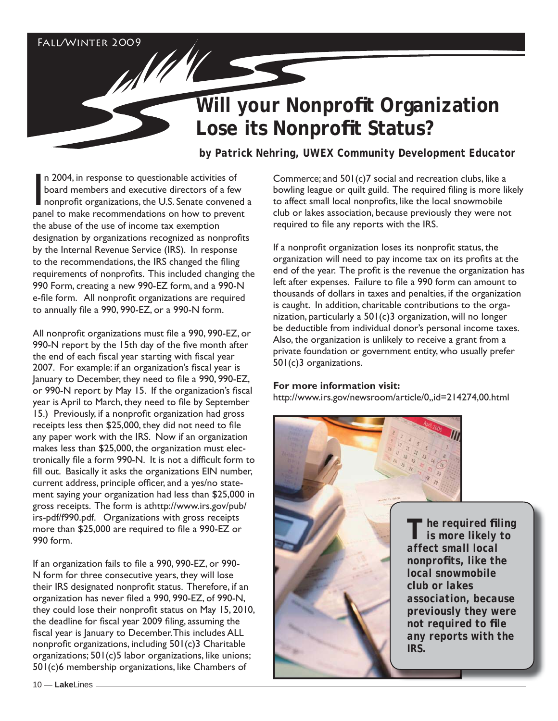## Fall/Winter 2009

# **Will your Nonprofit Organization Lose its Nonprofit Status?**

 *by Patrick Nehring, UWEX Community Development Educator*

In 2004, in response to questionable activities of<br>board members and executive directors of a few<br>nonprofit organizations, the U.S. Senate convened<br>panel to make recommendations on how to prevent n 2004, in response to questionable activities of board members and executive directors of a few nonprofit organizations, the U.S. Senate convened a the abuse of the use of income tax exemption designation by organizations recognized as nonprofits by the Internal Revenue Service (IRS). In response to the recommendations, the IRS changed the filing requirements of nonprofits. This included changing the 990 Form, creating a new 990-EZ form, and a 990-N e-file form. All nonprofit organizations are required to annually file a  $990, 990$ -EZ, or a  $990$ -N form.

All nonprofit organizations must file a 990, 990-EZ, or 990-N report by the 15th day of the five month after the end of each fiscal year starting with fiscal year 2007. For example: if an organization's fiscal year is January to December, they need to file a 990, 990-EZ, or 990-N report by May 15. If the organization's fiscal year is April to March, they need to file by September 15.) Previously, if a nonprofit organization had gross receipts less then \$25,000, they did not need to file any paper work with the IRS. Now if an organization makes less than \$25,000, the organization must electronically file a form 990-N. It is not a difficult form to fill out. Basically it asks the organizations EIN number, current address, principle officer, and a yes/no statement saying your organization had less than \$25,000 in gross receipts. The form is athttp://www.irs.gov/pub/ irs-pdf/f990.pdf. Organizations with gross receipts more than \$25,000 are required to file a 990-EZ or 990 form.

If an organization fails to file a 990, 990-EZ, or 990-N form for three consecutive years, they will lose their IRS designated nonprofit status. Therefore, if an organization has never filed a 990, 990-EZ, of 990-N, they could lose their nonprofit status on May 15, 2010, the deadline for fiscal year 2009 filing, assuming the fiscal year is January to December. This includes ALL nonprofit organizations, including  $501(c)$ 3 Charitable organizations; 501(c)5 labor organizations, like unions; 501(c)6 membership organizations, like Chambers of

Commerce; and 501(c)7 social and recreation clubs, like a bowling league or quilt guild. The required filing is more likely to affect small local nonprofits, like the local snowmobile club or lakes association, because previously they were not required to file any reports with the IRS.

If a nonprofit organization loses its nonprofit status, the organization will need to pay income tax on its profits at the end of the year. The profit is the revenue the organization has left after expenses. Failure to file a 990 form can amount to thousands of dollars in taxes and penalties, if the organization is caught. In addition, charitable contributions to the organization, particularly a 501(c)3 organization, will no longer be deductible from individual donor's personal income taxes. Also, the organization is unlikely to receive a grant from a private foundation or government entity, who usually prefer 501(c)3 organizations.

#### **For more information visit:**

http://www.irs.gov/newsroom/article/0,,id=214274,00.html



*The required fi ling is more likely to affect small local nonprofits, like the local snowmobile club or lakes association, because previously they were not required to file any reports with the*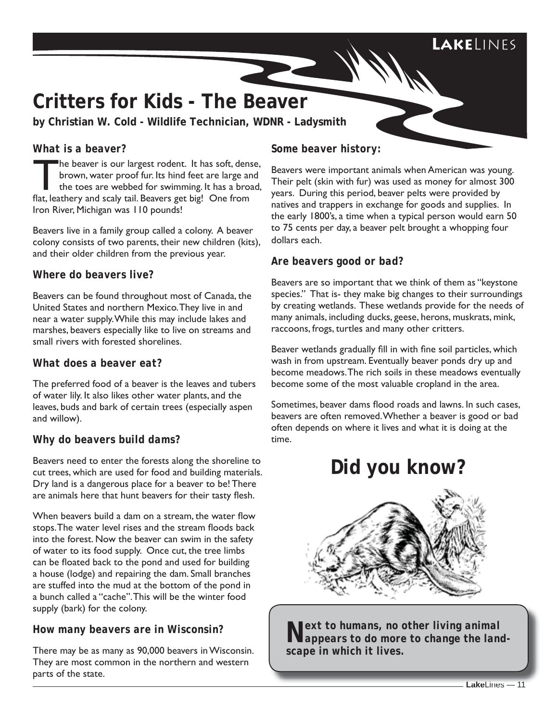# **Lake**Lines

# **Critters for Kids - The Beaver**

**by Christian W. Cold - Wildlife Technician, WDNR - Ladysmith**

## *What is a beaver?*

The beaver is our largest rodent. It has soft, dense,<br>brown, water proof fur. Its hind feet are large and<br>the toes are webbed for swimming. It has a broad,<br>flat loathery and scaly tail. Beavers got high One from brown, water proof fur. Its hind feet are large and the toes are webbed for swimming. It has a broad, flat, leathery and scaly tail. Beavers get big! One from Iron River, Michigan was 110 pounds!

Beavers live in a family group called a colony. A beaver colony consists of two parents, their new children (kits), and their older children from the previous year.

## *Where do beavers live?*

Beavers can be found throughout most of Canada, the United States and northern Mexico. They live in and near a water supply. While this may include lakes and marshes, beavers especially like to live on streams and small rivers with forested shorelines.

## *What does a beaver eat?*

The preferred food of a beaver is the leaves and tubers of water lily. It also likes other water plants, and the leaves, buds and bark of certain trees (especially aspen and willow).

## *Why do beavers build dams?*

Beavers need to enter the forests along the shoreline to cut trees, which are used for food and building materials. Dry land is a dangerous place for a beaver to be! There are animals here that hunt beavers for their tasty flesh.

When beavers build a dam on a stream, the water flow stops. The water level rises and the stream floods back into the forest. Now the beaver can swim in the safety of water to its food supply. Once cut, the tree limbs can be floated back to the pond and used for building a house (lodge) and repairing the dam. Small branches are stuffed into the mud at the bottom of the pond in a bunch called a "cache". This will be the winter food supply (bark) for the colony.

## *How many beavers are in Wisconsin?*

There may be as many as 90,000 beavers in Wisconsin. They are most common in the northern and western parts of the state.

## *Some beaver history:*

Beavers were important animals when American was young. Their pelt (skin with fur) was used as money for almost 300 years. During this period, beaver pelts were provided by natives and trappers in exchange for goods and supplies. In the early 1800's, a time when a typical person would earn 50 to 75 cents per day, a beaver pelt brought a whopping four dollars each.

#### *Are beavers good or bad?*

Beavers are so important that we think of them as "keystone species." That is- they make big changes to their surroundings by creating wetlands. These wetlands provide for the needs of many animals, including ducks, geese, herons, muskrats, mink, raccoons, frogs, turtles and many other critters.

Beaver wetlands gradually fill in with fine soil particles, which wash in from upstream. Eventually beaver ponds dry up and become meadows. The rich soils in these meadows eventually become some of the most valuable cropland in the area.

Sometimes, beaver dams flood roads and lawns. In such cases, beavers are often removed. Whether a beaver is good or bad often depends on where it lives and what it is doing at the time.

# **Did you know?**



**Lext to humans, no other living animal appears to do more to change the land scape in which it lives.**<br>**Lakelines** *appears to do more to change the landscape in which it lives.*